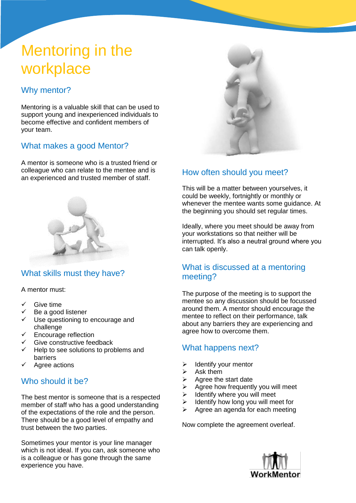# Mentoring in the workplace

# Why mentor?

Mentoring is a valuable skill that can be used to support young and inexperienced individuals to become effective and confident members of your team.

### What makes a good Mentor?

A mentor is someone who is a trusted friend or colleague who can relate to the mentee and is an experienced and trusted member of staff.



## What skills must they have?

A mentor must:

- Give time
- Be a good listener
- Use questioning to encourage and challenge
- Encourage reflection
- Give constructive feedback
- $\checkmark$  Help to see solutions to problems and barriers
- Agree actions

## Who should it be?

The best mentor is someone that is a respected member of staff who has a good understanding of the expectations of the role and the person. There should be a good level of empathy and trust between the two parties.

Sometimes your mentor is your line manager which is not ideal. If you can, ask someone who is a colleague or has gone through the same experience you have.



# How often should you meet?

This will be a matter between yourselves, it could be weekly, fortnightly or monthly or whenever the mentee wants some guidance. At the beginning you should set regular times.

Ideally, where you meet should be away from your workstations so that neither will be interrupted. It's also a neutral ground where you can talk openly.

### What is discussed at a mentoring meeting?

The purpose of the meeting is to support the mentee so any discussion should be focussed around them. A mentor should encourage the mentee to reflect on their performance, talk about any barriers they are experiencing and agree how to overcome them.

#### What happens next?

- $\triangleright$  Identify your mentor
- Ask them
- $\triangleright$  Agree the start date
- $\triangleright$  Agree how frequently you will meet
- $\triangleright$  Identify where you will meet
- $\triangleright$  Identify how long you will meet for
- $\triangleright$  Agree an agenda for each meeting

Now complete the agreement overleaf.